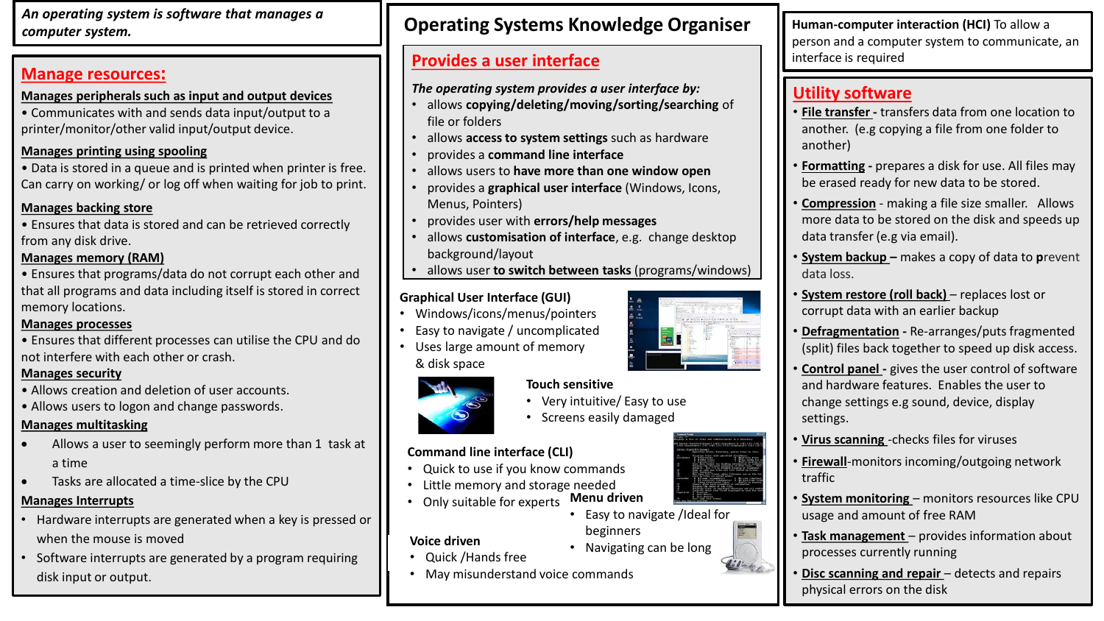An operating system is software that manages a **An operation of the Systems Knowledge Organiser An operation and a service of the service of the software that manages a** *a* **<b>dependent of the CI CI CI CI CI CI**

### **Manage resources:**

#### **Manages peripherals such as input and output devices**

• Communicates with and sends data input/output to a printer/monitor/other valid input/output device.

#### **Manages printing using spooling**

• Data is stored in a queue and is printed when printer is free. Can carry on working/ or log off when waiting for job to print.

#### **Manages backing store**

• Ensures that data is stored and can be retrieved correctly from any disk drive.

#### **Manages memory (RAM)**

• Ensures that programs/data do not corrupt each other and that all programs and data including itself is stored in correct memory locations.

#### **Manages processes**

• Ensures that different processes can utilise the CPU and do not interfere with each other or crash.

#### **Manages security**

- Allows creation and deletion of user accounts.
- Allows users to logon and change passwords.

#### **Manages multitasking**

- Allows a user to seemingly perform more than 1 task at a time
- Tasks are allocated a time-slice by the CPU

#### **Manages Interrupts**

- Hardware interrupts are generated when a key is pressed or when the mouse is moved
- Software interrupts are generated by a program requiring disk input or output.

# **Provides a user interface**

#### *The operating system provides a user interface by:*

- allows **copying/deleting/moving/sorting/searching** of file or folders
- allows **access to system settings** such as hardware
- provides a **command line interface**
- allows users to **have more than one window open**
- provides a **graphical user interface** (Windows, Icons, Menus, Pointers)
- provides user with **errors/help messages**
- allows **customisation of interface**, e.g. change desktop background/layout
- allows user **to switch between tasks** (programs/windows)

### **Graphical User Interface (GUI)**

- Windows/icons/menus/pointers
- Easy to navigate / uncomplicated
- Uses large amount of memory & disk space



**Voice driven**

• Quick /Hands free

- Very intuitive/ Easy to use
- Screens easily damaged

#### **Command line interface (CLI)**

- Quick to use if you know commands
- Little memory and storage needed
- **Menu driven** • Only suitable for experts
	- - Navigating can be long
- May misunderstand voice commands

person and a computer system to communicate, an interface is required

# **Utility software**

- **File transfer -** transfers data from one location to another. (e.g copying a file from one folder to another)
- **Formatting -** prepares a disk for use. All files may be erased ready for new data to be stored.
- **Compression** making a file size smaller. Allows more data to be stored on the disk and speeds up data transfer (e.g via email).
- **System backup –** makes a copy of data to **p**revent data loss.
- **System restore (roll back)** replaces lost or corrupt data with an earlier backup
- **Defragmentation -** Re-arranges/puts fragmented (split) files back together to speed up disk access.
- **Control panel -** gives the user control of software and hardware features. Enables the user to change settings e.g sound, device, display settings.
- **Virus scanning** -checks files for viruses
- **Firewall**-monitors incoming/outgoing network traffic
- **System monitoring**  monitors resources like CPU usage and amount of free RAM
- **Task management**  provides information about processes currently running
- **Disc scanning and repair**  detects and repairs physical errors on the disk













• Easy to navigate /Ideal for